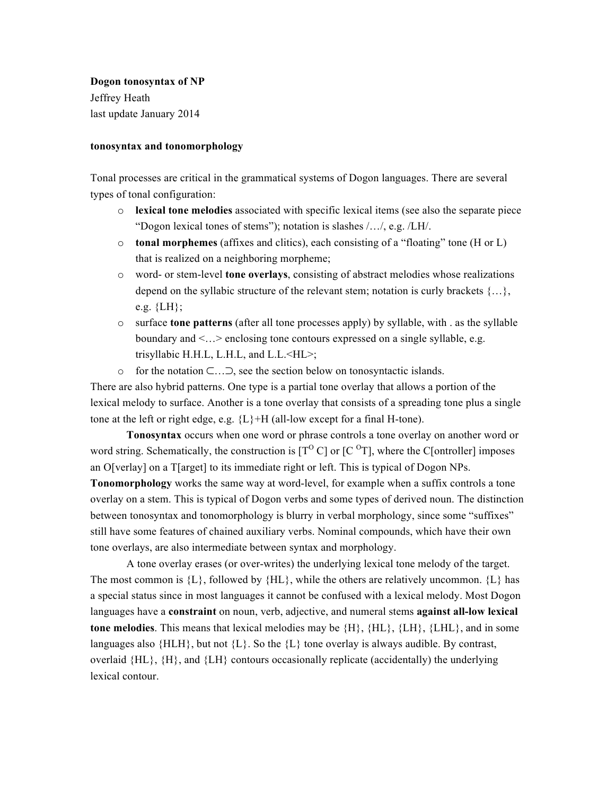# **Dogon tonosyntax of NP**

Jeffrey Heath last update January 2014

## **tonosyntax and tonomorphology**

Tonal processes are critical in the grammatical systems of Dogon languages. There are several types of tonal configuration:

- o **lexical tone melodies** associated with specific lexical items (see also the separate piece "Dogon lexical tones of stems"); notation is slashes /…/, e.g. /LH/.
- o **tonal morphemes** (affixes and clitics), each consisting of a "floating" tone (H or L) that is realized on a neighboring morpheme;
- o word- or stem-level **tone overlays**, consisting of abstract melodies whose realizations depend on the syllabic structure of the relevant stem; notation is curly brackets  $\{...\}$ , e.g.  ${LH}$ ;
- o surface **tone patterns** (after all tone processes apply) by syllable, with . as the syllable boundary and <…> enclosing tone contours expressed on a single syllable, e.g. trisyllabic H.H.L, L.H.L, and L.L.<HL>;
- o for the notation ⊂…⊃, see the section below on tonosyntactic islands.

There are also hybrid patterns. One type is a partial tone overlay that allows a portion of the lexical melody to surface. Another is a tone overlay that consists of a spreading tone plus a single tone at the left or right edge, e.g.  ${L}$ +H (all-low except for a final H-tone).

**Tonosyntax** occurs when one word or phrase controls a tone overlay on another word or word string. Schematically, the construction is  $[T^{\circ} C]$  or  $[C^{\circ} T]$ , where the C[ontroller] imposes an O[verlay] on a T[arget] to its immediate right or left. This is typical of Dogon NPs.

**Tonomorphology** works the same way at word-level, for example when a suffix controls a tone overlay on a stem. This is typical of Dogon verbs and some types of derived noun. The distinction between tonosyntax and tonomorphology is blurry in verbal morphology, since some "suffixes" still have some features of chained auxiliary verbs. Nominal compounds, which have their own tone overlays, are also intermediate between syntax and morphology.

A tone overlay erases (or over-writes) the underlying lexical tone melody of the target. The most common is  ${L}$ , followed by  ${HL}$ , while the others are relatively uncommon.  ${L}$  has a special status since in most languages it cannot be confused with a lexical melody. Most Dogon languages have a **constraint** on noun, verb, adjective, and numeral stems **against all-low lexical tone melodies**. This means that lexical melodies may be {H}, {HL}, {LH}, {LHL}, and in some languages also  ${H L H}$ , but not  ${L}$ . So the  ${L}$  tone overlay is always audible. By contrast, overlaid  ${H_L}$ ,  ${H}$ , and  ${L}$  contours occasionally replicate (accidentally) the underlying lexical contour.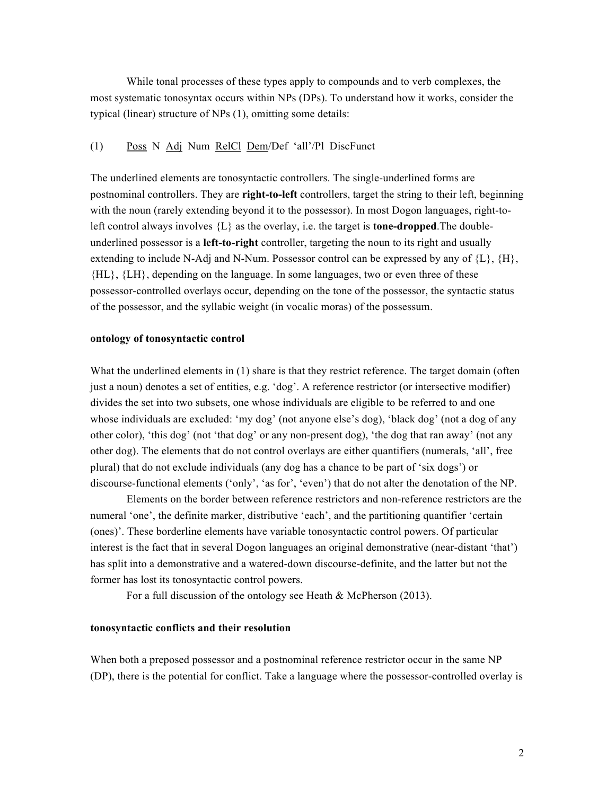While tonal processes of these types apply to compounds and to verb complexes, the most systematic tonosyntax occurs within NPs (DPs). To understand how it works, consider the typical (linear) structure of NPs (1), omitting some details:

### (1) Poss N Adj Num RelCl Dem/Def 'all'/Pl DiscFunct

The underlined elements are tonosyntactic controllers. The single-underlined forms are postnominal controllers. They are **right-to-left** controllers, target the string to their left, beginning with the noun (rarely extending beyond it to the possessor). In most Dogon languages, right-toleft control always involves {L} as the overlay, i.e. the target is **tone-dropped**.The doubleunderlined possessor is a **left-to-right** controller, targeting the noun to its right and usually extending to include N-Adj and N-Num. Possessor control can be expressed by any of  $\{L\}$ ,  $\{H\}$ , {HL}, {LH}, depending on the language. In some languages, two or even three of these possessor-controlled overlays occur, depending on the tone of the possessor, the syntactic status of the possessor, and the syllabic weight (in vocalic moras) of the possessum.

### **ontology of tonosyntactic control**

What the underlined elements in (1) share is that they restrict reference. The target domain (often just a noun) denotes a set of entities, e.g. 'dog'. A reference restrictor (or intersective modifier) divides the set into two subsets, one whose individuals are eligible to be referred to and one whose individuals are excluded: 'my dog' (not anyone else's dog), 'black dog' (not a dog of any other color), 'this dog' (not 'that dog' or any non-present dog), 'the dog that ran away' (not any other dog). The elements that do not control overlays are either quantifiers (numerals, 'all', free plural) that do not exclude individuals (any dog has a chance to be part of 'six dogs') or discourse-functional elements ('only', 'as for', 'even') that do not alter the denotation of the NP.

Elements on the border between reference restrictors and non-reference restrictors are the numeral 'one', the definite marker, distributive 'each', and the partitioning quantifier 'certain (ones)'. These borderline elements have variable tonosyntactic control powers. Of particular interest is the fact that in several Dogon languages an original demonstrative (near-distant 'that') has split into a demonstrative and a watered-down discourse-definite, and the latter but not the former has lost its tonosyntactic control powers.

For a full discussion of the ontology see Heath & McPherson (2013).

#### **tonosyntactic conflicts and their resolution**

When both a preposed possessor and a postnominal reference restrictor occur in the same NP (DP), there is the potential for conflict. Take a language where the possessor-controlled overlay is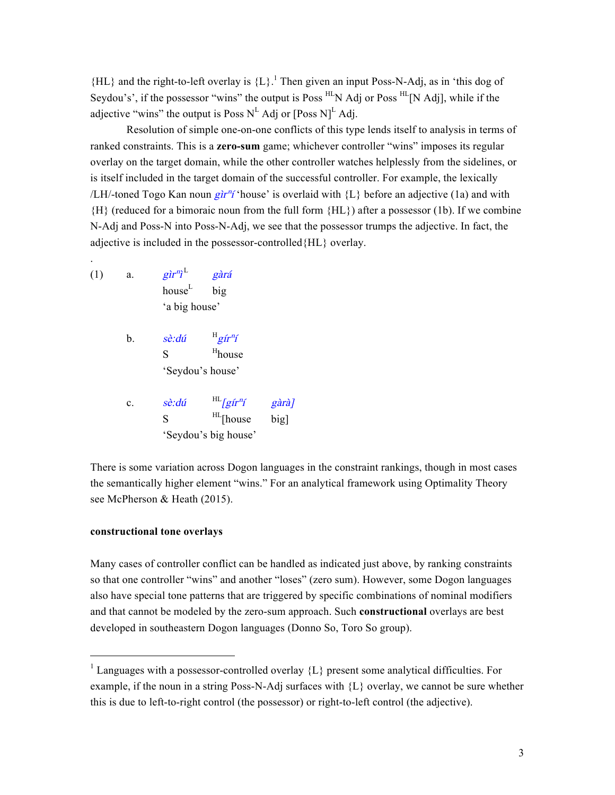${H_L}$  and the right-to-left overlay is  ${L}$ .<sup>1</sup> Then given an input Poss-N-Adj, as in 'this dog of Seydou's', if the possessor "wins" the output is Poss <sup>HL</sup>N Adj or Poss <sup>HL</sup>[N Adj], while if the adjective "wins" the output is Poss  $N^L$  Adj or [Poss N]<sup>L</sup> Adj.

Resolution of simple one-on-one conflicts of this type lends itself to analysis in terms of ranked constraints. This is a **zero-sum** game; whichever controller "wins" imposes its regular overlay on the target domain, while the other controller watches helplessly from the sidelines, or is itself included in the target domain of the successful controller. For example, the lexically /LH/-toned Togo Kan noun gir<sup>n</sup>í house' is overlaid with  ${L}$  before an adjective (1a) and with {H} (reduced for a bimoraic noun from the full form {HL}) after a possessor (1b). If we combine N-Adj and Poss-N into Poss-N-Adj, we see that the possessor trumps the adjective. In fact, the adjective is included in the possessor-controlled{HL} overlay.

(1) a.  $\hat{g} \hat{i} r^n \hat{i}^L$ gàrá house<sup>L</sup> big 'a big house'

.

- b.  $s\hat{e}$ :dú  $H_{\tilde{g}I\tilde{t}nI}$ S <sup>H</sup>house 'Seydou's house'
- c.  $s\hat{e}$ :  $d\hat{u}$   $H_{\text{I}}$   $g\hat{u}r\hat{u}$   $g\hat{a}r\hat{a}$  $S$   $^{HL}$ [house big] 'Seydou's big house'

There is some variation across Dogon languages in the constraint rankings, though in most cases the semantically higher element "wins." For an analytical framework using Optimality Theory see McPherson & Heath (2015).

# **constructional tone overlays**

Many cases of controller conflict can be handled as indicated just above, by ranking constraints so that one controller "wins" and another "loses" (zero sum). However, some Dogon languages also have special tone patterns that are triggered by specific combinations of nominal modifiers and that cannot be modeled by the zero-sum approach. Such **constructional** overlays are best developed in southeastern Dogon languages (Donno So, Toro So group).

<sup>&</sup>lt;sup>1</sup> Languages with a possessor-controlled overlay {L} present some analytical difficulties. For example, if the noun in a string Poss-N-Adj surfaces with {L} overlay, we cannot be sure whether this is due to left-to-right control (the possessor) or right-to-left control (the adjective).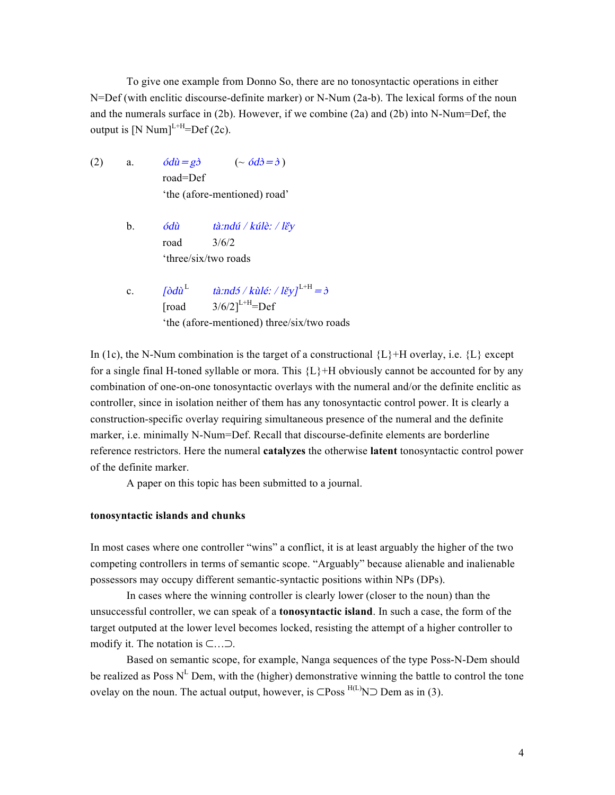To give one example from Donno So, there are no tonosyntactic operations in either N=Def (with enclitic discourse-definite marker) or N-Num (2a-b). The lexical forms of the noun and the numerals surface in (2b). However, if we combine (2a) and (2b) into N-Num=Def, the output is  $[N Num]^{L+H} = Def(2c)$ .

- (2) a.  $\acute{o}d\grave{u} = g\grave{\partial}$   $(\sim \acute{o}d\grave{\partial} = \grave{\partial})$ road=Def 'the (afore-mentioned) road'
	- b. ódù tà:ndú / kúlè: / l $\epsilon$ y road 3/6/2 'three/six/two roads
	- c.  $\left[\frac{\partial d\hat{u}^{\mathrm{L}}}{\partial \hat{u}}\right]^{L+H}=\hat{\sigma}$  $[road \qquad 3/6/2]^{L+H} = Def$ 'the (afore-mentioned) three/six/two roads

In (1c), the N-Num combination is the target of a constructional  $\{L\}+H$  overlay, i.e.  $\{L\}$  except for a single final H-toned syllable or mora. This  ${L}$ +H obviously cannot be accounted for by any combination of one-on-one tonosyntactic overlays with the numeral and/or the definite enclitic as controller, since in isolation neither of them has any tonosyntactic control power. It is clearly a construction-specific overlay requiring simultaneous presence of the numeral and the definite marker, i.e. minimally N-Num=Def. Recall that discourse-definite elements are borderline reference restrictors. Here the numeral **catalyzes** the otherwise **latent** tonosyntactic control power of the definite marker.

A paper on this topic has been submitted to a journal.

# **tonosyntactic islands and chunks**

In most cases where one controller "wins" a conflict, it is at least arguably the higher of the two competing controllers in terms of semantic scope. "Arguably" because alienable and inalienable possessors may occupy different semantic-syntactic positions within NPs (DPs).

In cases where the winning controller is clearly lower (closer to the noun) than the unsuccessful controller, we can speak of a **tonosyntactic island**. In such a case, the form of the target outputed at the lower level becomes locked, resisting the attempt of a higher controller to modify it. The notation is ⊂…⊃.

Based on semantic scope, for example, Nanga sequences of the type Poss-N-Dem should be realized as Poss  $N^L$  Dem, with the (higher) demonstrative winning the battle to control the tone ovelay on the noun. The actual output, however, is  $\subset$ Poss  $^{H(L)}$ N⊃ Dem as in (3).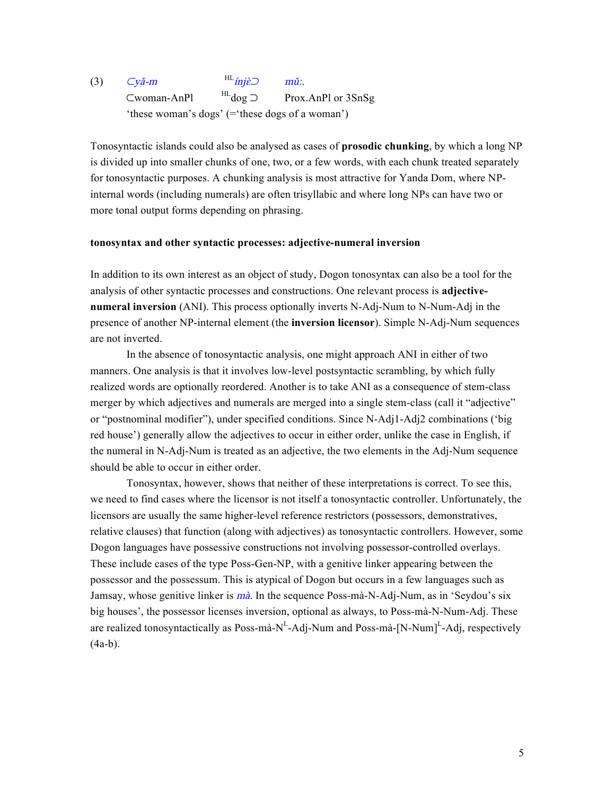#### (3) <sup>⊂</sup>yǎ-m  $H_{\text{min}}$  $\sup$  mũ:.. ⊂woman-AnPl HLdog ⊃ Prox.AnPl or 3SnSg 'these woman's dogs' (='these dogs of a woman')

Tonosyntactic islands could also be analysed as cases of **prosodic chunking**, by which a long NP is divided up into smaller chunks of one, two, or a few words, with each chunk treated separately for tonosyntactic purposes. A chunking analysis is most attractive for Yanda Dom, where NPinternal words (including numerals) are often trisyllabic and where long NPs can have two or more tonal output forms depending on phrasing.

# **tonosyntax and other syntactic processes: adjective-numeral inversion**

In addition to its own interest as an object of study, Dogon tonosyntax can also be a tool for the analysis of other syntactic processes and constructions. One relevant process is **adjectivenumeral inversion** (ANI). This process optionally inverts N-Adj-Num to N-Num-Adj in the presence of another NP-internal element (the **inversion licensor**). Simple N-Adj-Num sequences are not inverted.

In the absence of tonosyntactic analysis, one might approach ANI in either of two manners. One analysis is that it involves low-level postsyntactic scrambling, by which fully realized words are optionally reordered. Another is to take ANI as a consequence of stem-class merger by which adjectives and numerals are merged into a single stem-class (call it "adjective" or "postnominal modifier"), under specified conditions. Since N-Adj1-Adj2 combinations ('big red house') generally allow the adjectives to occur in either order, unlike the case in English, if the numeral in N-Adj-Num is treated as an adjective, the two elements in the Adj-Num sequence should be able to occur in either order.

Tonosyntax, however, shows that neither of these interpretations is correct. To see this, we need to find cases where the licensor is not itself a tonosyntactic controller. Unfortunately, the licensors are usually the same higher-level reference restrictors (possessors, demonstratives, relative clauses) that function (along with adjectives) as tonosyntactic controllers. However, some Dogon languages have possessive constructions not involving possessor-controlled overlays. These include cases of the type Poss-Gen-NP, with a genitive linker appearing between the possessor and the possessum. This is atypical of Dogon but occurs in a few languages such as Jamsay, whose genitive linker is *mà*. In the sequence Poss-mà-N-Adj-Num, as in 'Seydou's six big houses', the possessor licenses inversion, optional as always, to Poss-mà-N-Num-Adj. These are realized tonosyntactically as Poss-mà-N<sup>L</sup>-Adj-Num and Poss-mà-[N-Num]<sup>L</sup>-Adj, respectively  $(4a-b)$ .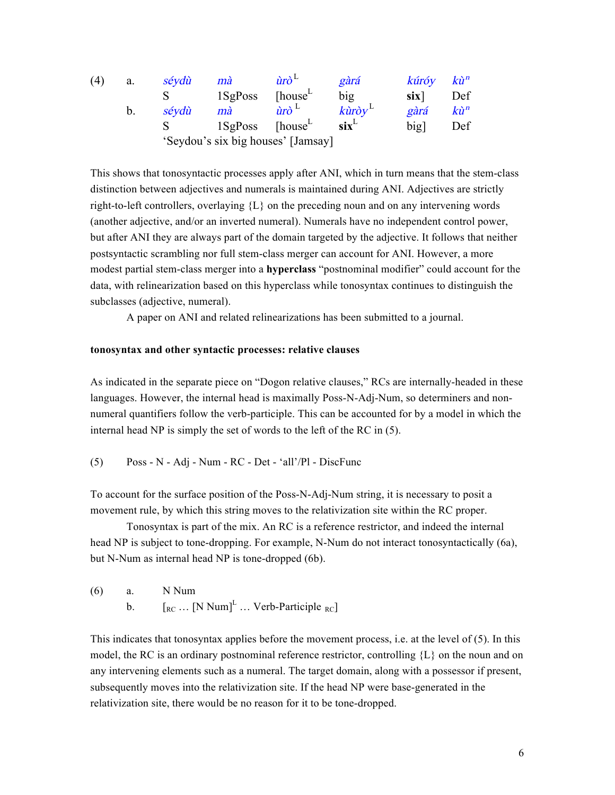| (4) | a.          | séydù                              | mà         | $\hat{u}$ rò <sup><math>\Gamma</math></sup> | gàrá                          | kúróy            | $k\hat{u}^n$   |
|-----|-------------|------------------------------------|------------|---------------------------------------------|-------------------------------|------------------|----------------|
|     |             |                                    | $1$ SgPoss | [house <sup>L</sup> ]                       | big                           | six <sup>1</sup> | Def            |
|     | $b_{\cdot}$ | sévdù                              | mà         | $\hat{u}$ rò <sup>L</sup>                   | $k\rightarrow w$ <sup>L</sup> | gàrá             | $k\grave{u}^n$ |
|     |             |                                    | $1$ SgPoss | [house <sup>L</sup> ]                       | $\textbf{six}^{\text{L}}$     | big              | Def            |
|     |             | 'Seydou's six big houses' [Jamsay] |            |                                             |                               |                  |                |

This shows that tonosyntactic processes apply after ANI, which in turn means that the stem-class distinction between adjectives and numerals is maintained during ANI. Adjectives are strictly right-to-left controllers, overlaying  ${L}$  on the preceding noun and on any intervening words (another adjective, and/or an inverted numeral). Numerals have no independent control power, but after ANI they are always part of the domain targeted by the adjective. It follows that neither postsyntactic scrambling nor full stem-class merger can account for ANI. However, a more modest partial stem-class merger into a **hyperclass** "postnominal modifier" could account for the data, with relinearization based on this hyperclass while tonosyntax continues to distinguish the subclasses (adjective, numeral).

A paper on ANI and related relinearizations has been submitted to a journal.

### **tonosyntax and other syntactic processes: relative clauses**

As indicated in the separate piece on "Dogon relative clauses," RCs are internally-headed in these languages. However, the internal head is maximally Poss-N-Adj-Num, so determiners and nonnumeral quantifiers follow the verb-participle. This can be accounted for by a model in which the internal head NP is simply the set of words to the left of the RC in (5).

$$
(5) \qquad \text{Poss - N - Adj - Num - RC - Det - 'all'/Pl - DiscFunc}
$$

To account for the surface position of the Poss-N-Adj-Num string, it is necessary to posit a movement rule, by which this string moves to the relativization site within the RC proper.

Tonosyntax is part of the mix. An RC is a reference restrictor, and indeed the internal head NP is subject to tone-dropping. For example, N-Num do not interact tonosyntactically (6a), but N-Num as internal head NP is tone-dropped (6b).

(6) a. N Num b.  $\left[\begin{matrix}R_C \dots \end{matrix}\begin{matrix}N \end{matrix}\right]$   $\cdots$  Verb-Participle  $_{RC}$ ]

This indicates that tonosyntax applies before the movement process, i.e. at the level of (5). In this model, the RC is an ordinary postnominal reference restrictor, controlling  ${L}$  on the noun and on any intervening elements such as a numeral. The target domain, along with a possessor if present, subsequently moves into the relativization site. If the head NP were base-generated in the relativization site, there would be no reason for it to be tone-dropped.